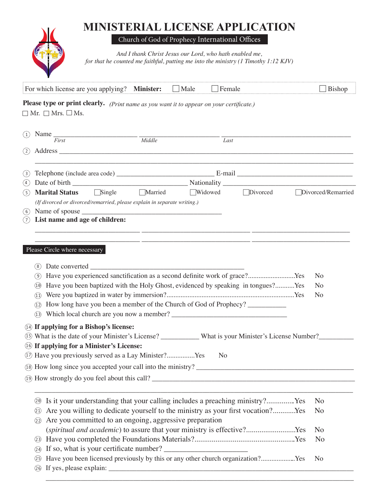## **MINISTERIAL LICENSE APPLICATION**

Church of God of Prophecy International Offices

*And I thank Christ Jesus our Lord, who hath enabled me, for that he counted me faithful, putting me into the ministry (1 Timothy 1:12 KJV)*

|            | For which license are you applying? Minister:                                                                                                                                                                                  |                     | Male    | Female            |          | Bishop             |
|------------|--------------------------------------------------------------------------------------------------------------------------------------------------------------------------------------------------------------------------------|---------------------|---------|-------------------|----------|--------------------|
|            | Please type or print clearly. (Print name as you want it to appear on your certificate.)                                                                                                                                       |                     |         |                   |          |                    |
|            | $\Box$ Mr. $\Box$ Mrs. $\Box$ Ms.                                                                                                                                                                                              |                     |         |                   |          |                    |
| (1)        | Name $\frac{1}{First}$                                                                                                                                                                                                         | $\overline{Middle}$ |         |                   |          |                    |
| (2)        | Address experiences and the contract of the contract of the contract of the contract of the contract of the contract of the contract of the contract of the contract of the contract of the contract of the contract of the co |                     |         | $\overline{Last}$ |          |                    |
|            |                                                                                                                                                                                                                                |                     |         |                   |          |                    |
| (3)        |                                                                                                                                                                                                                                |                     |         |                   |          |                    |
| (4)        |                                                                                                                                                                                                                                |                     |         |                   |          |                    |
| (5)        | $\Box$ Single<br><b>Marital Status</b>                                                                                                                                                                                         | $\Box$ Married      | Widowed |                   | Divorced | Divorced/Remarried |
|            | (If divorced or divorced/remarried, please explain in separate writing.)                                                                                                                                                       |                     |         |                   |          |                    |
| (6)<br>(7) | Name of spouse expression and the set of spouse expression of spouse expression of spouse expression of the set of $\sim$<br>List name and age of children:                                                                    |                     |         |                   |          |                    |
|            |                                                                                                                                                                                                                                |                     |         |                   |          |                    |
|            |                                                                                                                                                                                                                                |                     |         |                   |          |                    |
|            | Please Circle where necessary                                                                                                                                                                                                  |                     |         |                   |          |                    |
|            |                                                                                                                                                                                                                                |                     |         |                   |          |                    |
|            | (8)<br>Have you experienced sanctification as a second definite work of grace?Yes                                                                                                                                              |                     |         |                   |          | No                 |
|            | (9)<br>Have you been baptized with the Holy Ghost, evidenced by speaking in tongues?Yes<br>(10)                                                                                                                                |                     |         |                   |          | N <sub>o</sub>     |
|            | (11)                                                                                                                                                                                                                           |                     |         |                   |          | No                 |
|            | How long have you been a member of the Church of God of Prophecy? _____________<br>(12)                                                                                                                                        |                     |         |                   |          |                    |
|            | Which local church are you now a member?<br>(13)                                                                                                                                                                               |                     |         |                   |          |                    |
| (14)       | If applying for a Bishop's license:                                                                                                                                                                                            |                     |         |                   |          |                    |
| (15)       | What is the date of your Minister's License? ___________ What is your Minister's License Number?_________                                                                                                                      |                     |         |                   |          |                    |
|            | <sup>16</sup> If applying for a Minister's License:                                                                                                                                                                            |                     |         |                   |          |                    |
|            | 1) Have you previously served as a Lay Minister?Yes                                                                                                                                                                            |                     |         | N <sub>0</sub>    |          |                    |
|            |                                                                                                                                                                                                                                |                     |         |                   |          |                    |
|            |                                                                                                                                                                                                                                |                     |         |                   |          |                    |
|            |                                                                                                                                                                                                                                |                     |         |                   |          |                    |
|            | Is it your understanding that your calling includes a preaching ministry?Yes<br>(20)                                                                                                                                           |                     |         |                   |          | N <sub>o</sub>     |
|            | Are you willing to dedicate yourself to the ministry as your first vocation?Yes<br>21)                                                                                                                                         |                     |         |                   |          | N <sub>o</sub>     |
|            | Are you committed to an ongoing, aggressive preparation<br>22)                                                                                                                                                                 |                     |         |                   |          |                    |
|            | (spiritual and academic) to assure that your ministry is effective?Yes                                                                                                                                                         |                     |         |                   |          | N <sub>o</sub>     |
|            | (23)                                                                                                                                                                                                                           |                     |         |                   |          | N <sub>o</sub>     |
|            | (24)                                                                                                                                                                                                                           |                     |         |                   |          |                    |
|            | Have you been licensed previously by this or any other church organization?Yes<br>(25)                                                                                                                                         |                     |         |                   |          | N <sub>o</sub>     |
|            | 26)                                                                                                                                                                                                                            |                     |         |                   |          |                    |